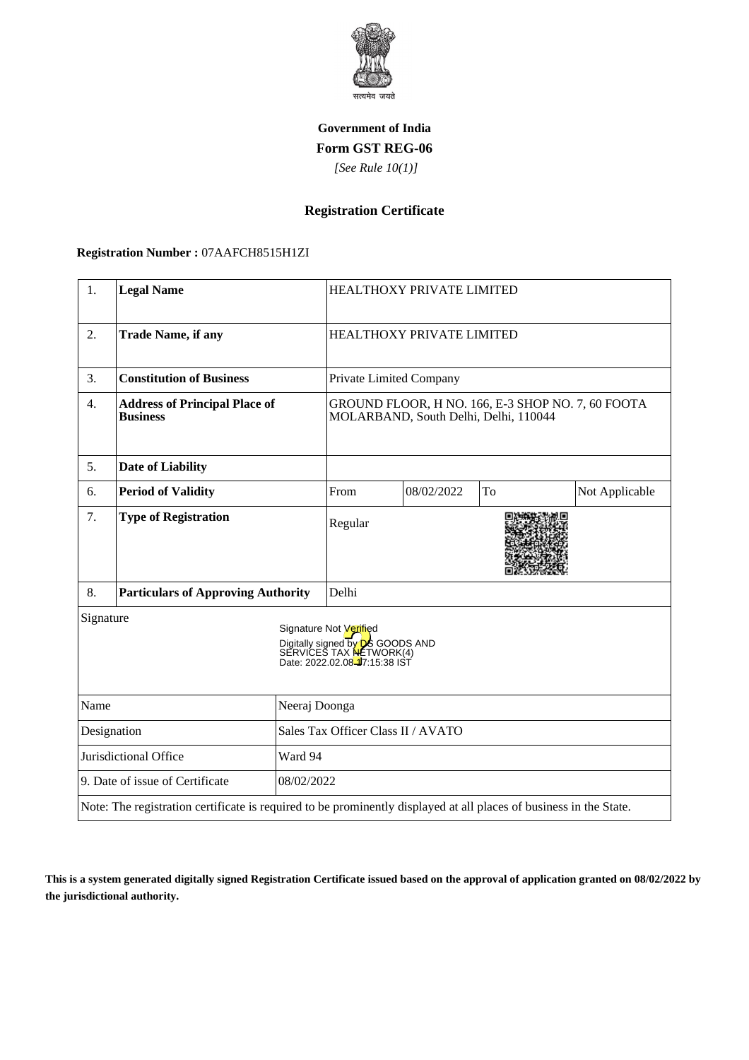

### **Government of India Form GST REG-06**

 *[See Rule 10(1)]*

# **Registration Certificate**

#### **Registration Number :** 07AAFCH8515H1ZI

| 1.                                            | <b>Legal Name</b>                                                                                                  |                                    | <b>HEALTHOXY PRIVATE LIMITED</b>                                                                                                                   |            |    |                |
|-----------------------------------------------|--------------------------------------------------------------------------------------------------------------------|------------------------------------|----------------------------------------------------------------------------------------------------------------------------------------------------|------------|----|----------------|
| 2.                                            | <b>Trade Name, if any</b>                                                                                          |                                    | HEALTHOXY PRIVATE LIMITED                                                                                                                          |            |    |                |
| 3.                                            | <b>Constitution of Business</b>                                                                                    |                                    | Private Limited Company                                                                                                                            |            |    |                |
| $\overline{4}$ .                              | <b>Address of Principal Place of</b><br><b>Business</b>                                                            |                                    | GROUND FLOOR, H NO. 166, E-3 SHOP NO. 7, 60 FOOTA<br>MOLARBAND, South Delhi, Delhi, 110044                                                         |            |    |                |
| 5.                                            | <b>Date of Liability</b>                                                                                           |                                    |                                                                                                                                                    |            |    |                |
| 6.                                            | <b>Period of Validity</b>                                                                                          |                                    | From                                                                                                                                               | 08/02/2022 | To | Not Applicable |
| 7.                                            | <b>Type of Registration</b>                                                                                        |                                    | Regular                                                                                                                                            |            |    |                |
| 8.                                            | <b>Particulars of Approving Authority</b>                                                                          |                                    | Delhi                                                                                                                                              |            |    |                |
| Signature                                     |                                                                                                                    |                                    | Signature Not Verified<br>Digitally signed by <b>D</b> S GOODS AND<br>SERVICES TAX <b>NE</b> TWORK(4)<br>Date: 2022.02.08 <sup>1</sup> 7:15:38 IST |            |    |                |
| Name<br>Neeraj Doonga                         |                                                                                                                    |                                    |                                                                                                                                                    |            |    |                |
| Designation                                   |                                                                                                                    | Sales Tax Officer Class II / AVATO |                                                                                                                                                    |            |    |                |
| Jurisdictional Office<br>Ward 94              |                                                                                                                    |                                    |                                                                                                                                                    |            |    |                |
| 9. Date of issue of Certificate<br>08/02/2022 |                                                                                                                    |                                    |                                                                                                                                                    |            |    |                |
|                                               | Note: The registration certificate is required to be prominently displayed at all places of business in the State. |                                    |                                                                                                                                                    |            |    |                |

**This is a system generated digitally signed Registration Certificate issued based on the approval of application granted on 08/02/2022 by the jurisdictional authority.**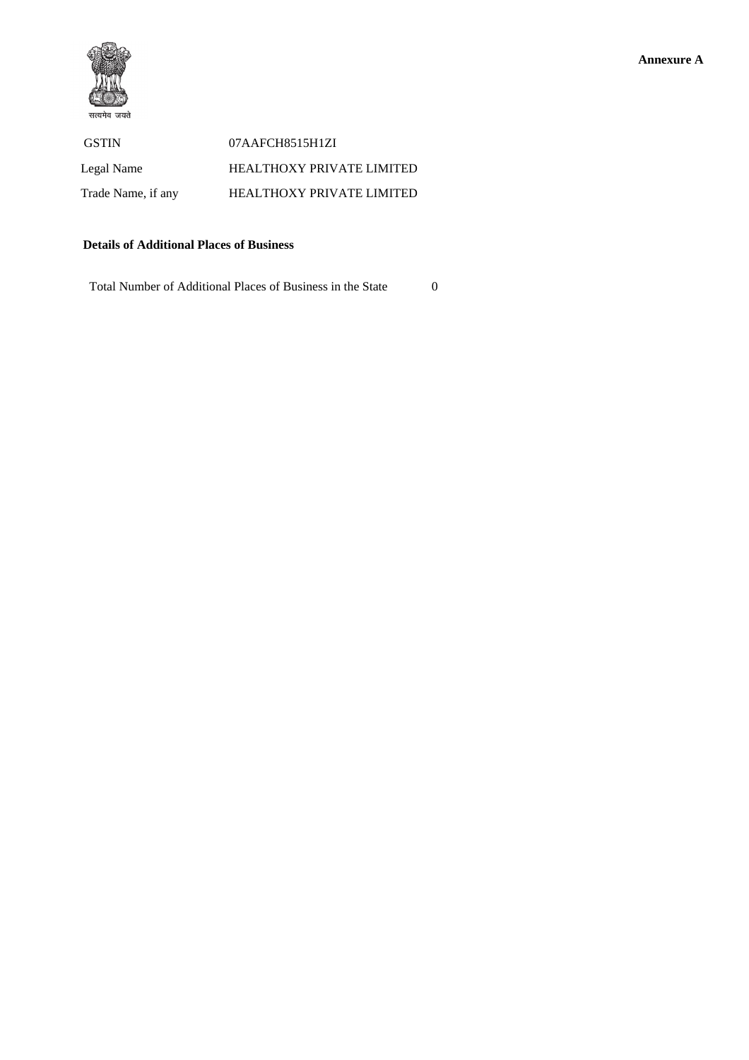

 GSTIN 07AAFCH8515H1ZI Legal Name HEALTHOXY PRIVATE LIMITED Trade Name, if any **HEALTHOXY PRIVATE LIMITED** 

### **Details of Additional Places of Business**

Total Number of Additional Places of Business in the State 0